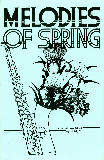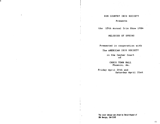### SUN COUNTRY IRIS SOCIETY

### Presents

the **15th Annual Iris Show 1984** 

## MELODIES OF SPRING

Presented in cooperation with

The AMERICAN IRIS SOCIETY

in the Center Court of

CHRIS TOWN MALL Phoenix, Az.

Friday April 20th and Saturday April 21st

The cover design was drawn by David Atwood of DSA DeSign, 266-2105

ر<br>پوهند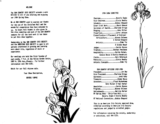The SUN COUNTRY IRIS SOCIETY extends a warm welcome to all of you entering and enjoying our 1984 Spring Show.

We at SUN COUNTRY wish to express our thanks for the use of the ChrisTown Mall and the wonderful cooperation they have extended to us. Ny heart felt thanks is also given to the show committee and each of the SUN COUNTRY members for all the hard work it has taken to put this show together.

Membership in the SUN COUNTRY IRIS SOCIETY and the AMERICAN IRIS SOCIETY is open to all persons interested in growing and learning more about iris, regardless of skill or experience.

Our meetings are held the First Tuesday of each month, 7 P.M. at the Valley Garden Center, 1809 N. 15th Ave., Phoenix. For furthur information call 841-1231.

Watch for our fall rhizone sale.

Your Show Chairperson,

**REVERLY DOPKE** 

### 1984 SHOW COMMITTEE

Chairman.................Beverly Dopke Vice Chairman............Gloria Beatty Schedule.................Bobbie Shepard Cover & Art Work...........David Atwood Secretary of Awards.....Charlene Errigo Staging.....................Gary Miller Properties................Larry Johnsen Classification & Placement of Entries: Horticulture..........Winona Solomon & Dorald Shepard Artistic...................Edma Try & Goldie Bauer Judges ...................Carole Spiess Trophies..............Rachael Meschede Hospitality..............Carita Culmer, Eunice Davis & Charlie Hendricks Clerks....................... Mary McCormick Publicity.................Gloria Beatty Artistic Concepts..............Edma Try

#### SUN COUNTRY OFFICERS 1983-1984

| PresidentJim Day                     |
|--------------------------------------|
| Vice PresidentCharlene Errigo        |
| SecretaryArdi Kary                   |
| TreasurerDonna Mosca                 |
| DirectorsFloyd Wickenkamp            |
| Gary Miller & Paul Harter            |
| NewsletterCarole Spiess              |
| ProgramsWinona Soloman               |
| Refreshments Marilyn Harter          |
| 84 Spring Show - Chris-Town Mall     |
| Beverly Dopke & Gloria Beatty        |
| 87 National ConventionBobbie Shepard |

This is an American Iris Society approved show, conducted according to American Iris Society requlations and judged by acredited judges.

For information concering the society, membership or activities, call 841-1231.



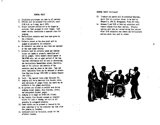### GENERAL RULES

- 1. Exhibition privileges are open to all persons.
- 2. Entries will be accepted from 6:30 A.M. until 9:30 A.H. on Friday, April 20TH.
- 3. Single-specimen entries are to be staged by cultivar, then grouped in color ranges. Each named variety constitutes a separate class for judging.
- 4. Horticulture exhibits must have been grown by the exhibitor.
- 5. Exhibits placed on the show bench will be judged as groomed by the exhibitor.
- 6. An exhibitor may enter no more than one specimen of the same named variety.
- 7. Exhibits must be correctly named and labeled. Irises not named or properly identified will not be judged. Entry numbers should appear on TAG-STUB only, not on upper portion of the tag. Tag-stub information will be used in determining the Horticulture Sveepstakes winner; therefore, name of the cultivar and identity of the exhibitor MUst be shown on the stub. Tags and entry tabulation forms may be obtained in advance from Charlene Errigo (993-7498) or Bobbie Shepard ( 841-1231>.
- 8. Youth See special rules under Division III.
- 9. Judging will be by American Iris Society rules, with decisions of judges final; any award may be withheld at the judges discretion.
- *10. Ho* persons are allowed in exhibit area during judging except judges, show chairman, clerks, and designated student judges. '
- 11. Judging is to begin at 10:30 A.M. Friday.
- $-12$ . Sun Country Iris Society assumes no responsibility for loss or damage, but will do all possible to safeguard exhibits.
- 13. Faded stalks may be groomed or removed by the show conmittee or by the exhibitor any time after the judging is finished.
- 14. Containers will be furnished, except for the artistic classes.

GENERAL RULES (Continuedl

- 15. Trophies and awards will be presented Saturday, April 21st at a potluck dinner to be held at Shepard's, 3342 W. Orangewood, Phone 841-1231.
- 16. Between 5 and 5:30 on Saturjay exhibitors will remove ribbons from their entries. Artistic entries will also be removed during this period. After 5:30 exhibitors way remove any horticulture entries which they wish to retain.

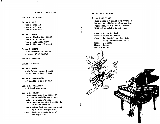Section A. TALL BEARDED

Section B. ARILS Class a - Aril-Heds Class b - Arilbreds Class c - Pure Arils

Section C. MEDIANS Class a - Standard dwarf bearded Class b - Border bearded  $Class c - Interneti$ Class d - Miniature tall bearded

Section D. SPURIAS {It is recOMended that spurias not exceed 48" cut height.)

Section E. LOUISIAHAS

Section f. SIBERIANS

Section C. BULBOUS Dutch, English, Spanish, I others {Not eligible for Queen of Show)

Section H. RELATED GENERA (Not eligible for Queen of Show)

Section I. MISCElLANEOUS Any iris not named above.

Section J. SEEDLIHGS An unintroduced iris of any section or kind, to be designated by name or number I entered in hybridizer's *na"e.*  Class a. Seedlings hybridized & exhibited by an Arizona hybridizer. Class b. Arizona Seedlings grown & exhibited by other than the hybridizer. Class c. Seedlings hybridize by out of state hybridizer.

HORTICULTURE - Continued

Section K. COLLECTIONS

 $\mathcal{F}$ II' ! f: •

These classes must consist of named varities. One entry per exhibitor per class. Any three stalks constitute a collection. Variety names must be listed on the entry tag.

Class a - Aril or Aril-bred Class b - Plicata tall bearded Class  $c -$  Tall bearded - any three stalks of any one color classification. Class d - louisianas Class e - Spurias Class f - Medians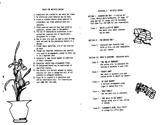## RUlES FOR ARTISTIC DESIGN

- 1. Exhibitors are limited to one entry per class.
- 2. No artificial plant material may be used.
- 3. Dried or treated natural plant material is acceptable, but fresh material must predominate.
- 4. Plant waterial need not have been grown by exhibitor, unless class 50 designates.
- $5.$  The use of interpretive accessories is permitted but required only if specifically designated for a class.
- 6. One or wore iris wust be used in each arrangement and must be the dominating feature of a design.
- 7. Except where specified, iris of any kind may be used.
- 8. Though not required, exhibitors may identify iris used in arrangements, either on entry tag or on a separate card.
- 9. Exhibitor's name should appear on underside of their container.
- 10. Exhibitor should keep arrangement fresh.
- 11. No background boards may be used except in specified classes.
- 12. Sun Country Iris Society asSUNeS no responsibility for loss or damage but will do all possible to safeguard exhibits.
- 13. Class #1 is limited to 6 exhibitors each and *by* reservation only. For reservations call EDNA TRY, 242-1605.

# DIVISION II - ARTISTIC DESIGN

- SECTION I RESERVATION ONLY 6 entries per class. Navajo white backboards, 32" High, 24" wide and two 12" wings, will be furnished. Call Edna Try, 242-16OS for *your* reservation.
- Class 1 "WHITE CLIFFS OF DOVER" Use white iris. Water interest Kiy be used.
- SECTION II FOR NOVICES ONLY -

 $\sim$ 

Class 2 - Interpret *your* favorite song title in iris. Let your imagination run its' course!

SECTION III -OPEN TO EVERYONE - Unlimited entry

- Class 3 "YOU ARE MY SUNSHINE" Use yellow iris to interpret the feeling of sunshine in your life.
- Class 4 "DESERT SONG" Use small or minature iris with cactus accent to depict our desert.
- Class 5 "HY BLUE HEAVEN" A vertical arrangement using light or wedium blue iris.
- Class 6 "DEEP PURPLE" Use any dark iris to interpret.
- Class 7 "RED SAILS IN THE SUNSET" Design using iris of red, yellow, or blends.
- Class 8 "LAVENDER'S BLUE, DILLY DILLY" A corsage for a Prom date.



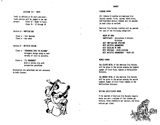## DIVISION III - YOUTH

Youth is defined as 18 years and under. Youth entries will be judged in two age groups: Class Ya - Under 12 Years Class Yb - 12 through 18

Section A - HORTICULTURE

Class a - Tall Bearded Class  $b - Any$  other

Section B - ARTISTIC DESIGN

- Class a HSOMEWHERE OVER THE RAINBOW" Arrangers design using as MUch variety of color as possible.
- Class b "76 TROMBONES" Gold or yellow iris with accessories permitted.

Accessories are permitted, but not necessary in both classes.



### AWARDS

#### **RIBBONS #####**

All ribbons & rosettes are American Iris Society awards. First, second, third place, and honorable mention ribbons will be awarded in each class as merited.

AMerican Iris Society rosettes will be awarded for each of the following categories:

QUEEH Of SHOW SWEEPSTAKES - Hoticulture & Artistic Divisions BEST HORTICULTURE SPECIMEN BEST ARTISTIC ARRANGEMENT BEST SEEDLING or SHOW BEST SPECIMEN - YOUTH DIVISION BEST ARTISTIC ARRANGEMENT – YOUTH DIV

### MEDALS SEERE

The SILVER METAL of the American Iris Society will be given to the person winning the highest number of First Place ribbons in Horticulture Division.

The BROHZE METAL of the AMerican Iris Society will be given to the person winning the second highest nUMber of First Place ribbons in the Horticulture Division.

### SECTION CERTIFICATES *tt\*\*\**

To be awarded if American Iris Society requirements are met: a minimum of five classes per section, three exhibitors per section, and three entries per class.

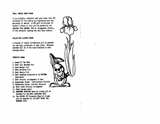#### SMALL GARDEN ANARD \*\*\*\*\*

To be eligible, exhibitor must grow fewer than 100 varieties of iris and be pre-registered with the Secretary of Awards. A \$25 gift certificate for winner's choice of iris will be donated by the SHEPARD IRIS GARDEN. 3342 W. Orangewood, Fhoenix, to the exhibitor winning the most blue ribbons.

### COLLECTION CLASSES \*\*\*\*\*

A rhizOMe of recent introduction will be awarded for the best collection in each class. Rhizomes awarded will be of the type exhibited in each winning entry.

### TROPHIES \*\*\*\*\*

- 1. Queen Of The Show
- 2. Best Tall Bearded Iris
- 3. Best Median Iris
- 4. Best Arilbred Iris
- 5. Best Spuria Iris
- 6. Best seedling exhibited by an ARIZONA Hybridizer
- 7. Best artistic arrangement of show
- B. Sweepstake winner Horticulture Division
- 9. Sweepstake winner- Artistic Division<br>10. Best Youth Artistic arrangement
- 
- 11. SHall garden award
- 12. BARBARRA DEREHIAH Memorial trophy will be awarded for the BEST lOUISIAHA IRIS.
- 13. The FOSTER TRY Perpetual Memorial trophy will be awarded for the BEST BLACK TALL BEARDED IRIS.